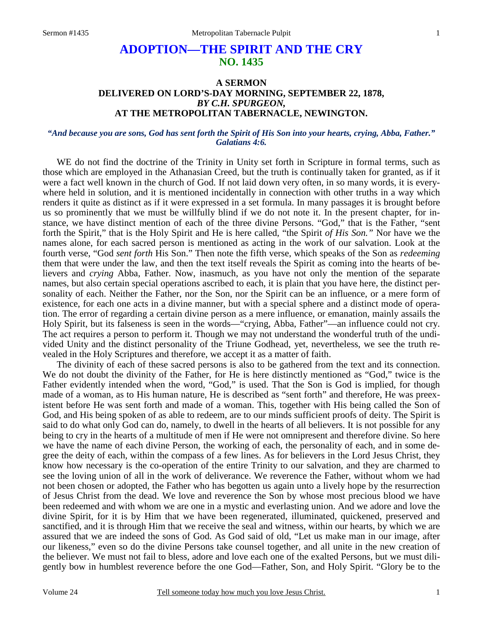# **ADOPTION—THE SPIRIT AND THE CRY NO. 1435**

### **A SERMON DELIVERED ON LORD'S-DAY MORNING, SEPTEMBER 22, 1878,**  *BY C.H. SPURGEON,*  **AT THE METROPOLITAN TABERNACLE, NEWINGTON.**

#### *"And because you are sons, God has sent forth the Spirit of His Son into your hearts, crying, Abba, Father." Galatians 4:6.*

WE do not find the doctrine of the Trinity in Unity set forth in Scripture in formal terms, such as those which are employed in the Athanasian Creed, but the truth is continually taken for granted, as if it were a fact well known in the church of God. If not laid down very often, in so many words, it is everywhere held in solution, and it is mentioned incidentally in connection with other truths in a way which renders it quite as distinct as if it were expressed in a set formula. In many passages it is brought before us so prominently that we must be willfully blind if we do not note it. In the present chapter, for instance, we have distinct mention of each of the three divine Persons. "God," that is the Father, "sent forth the Spirit," that is the Holy Spirit and He is here called, "the Spirit *of His Son."* Nor have we the names alone, for each sacred person is mentioned as acting in the work of our salvation. Look at the fourth verse, "God *sent forth* His Son." Then note the fifth verse, which speaks of the Son as *redeeming* them that were under the law, and then the text itself reveals the Spirit as coming into the hearts of believers and *crying* Abba, Father. Now, inasmuch, as you have not only the mention of the separate names, but also certain special operations ascribed to each, it is plain that you have here, the distinct personality of each. Neither the Father, nor the Son, nor the Spirit can be an influence, or a mere form of existence, for each one acts in a divine manner, but with a special sphere and a distinct mode of operation. The error of regarding a certain divine person as a mere influence, or emanation, mainly assails the Holy Spirit, but its falseness is seen in the words—"crying, Abba, Father"—an influence could not cry. The act requires a person to perform it. Though we may not understand the wonderful truth of the undivided Unity and the distinct personality of the Triune Godhead, yet, nevertheless, we see the truth revealed in the Holy Scriptures and therefore, we accept it as a matter of faith.

The divinity of each of these sacred persons is also to be gathered from the text and its connection. We do not doubt the divinity of the Father, for He is here distinctly mentioned as "God," twice is the Father evidently intended when the word, "God," is used. That the Son is God is implied, for though made of a woman, as to His human nature, He is described as "sent forth" and therefore, He was preexistent before He was sent forth and made of a woman. This, together with His being called the Son of God, and His being spoken of as able to redeem, are to our minds sufficient proofs of deity. The Spirit is said to do what only God can do, namely, to dwell in the hearts of all believers. It is not possible for any being to cry in the hearts of a multitude of men if He were not omnipresent and therefore divine. So here we have the name of each divine Person, the working of each, the personality of each, and in some degree the deity of each, within the compass of a few lines. As for believers in the Lord Jesus Christ, they know how necessary is the co-operation of the entire Trinity to our salvation, and they are charmed to see the loving union of all in the work of deliverance. We reverence the Father, without whom we had not been chosen or adopted, the Father who has begotten us again unto a lively hope by the resurrection of Jesus Christ from the dead. We love and reverence the Son by whose most precious blood we have been redeemed and with whom we are one in a mystic and everlasting union. And we adore and love the divine Spirit, for it is by Him that we have been regenerated, illuminated, quickened, preserved and sanctified, and it is through Him that we receive the seal and witness, within our hearts, by which we are assured that we are indeed the sons of God. As God said of old, "Let us make man in our image, after our likeness," even so do the divine Persons take counsel together, and all unite in the new creation of the believer. We must not fail to bless, adore and love each one of the exalted Persons, but we must diligently bow in humblest reverence before the one God—Father, Son, and Holy Spirit. "Glory be to the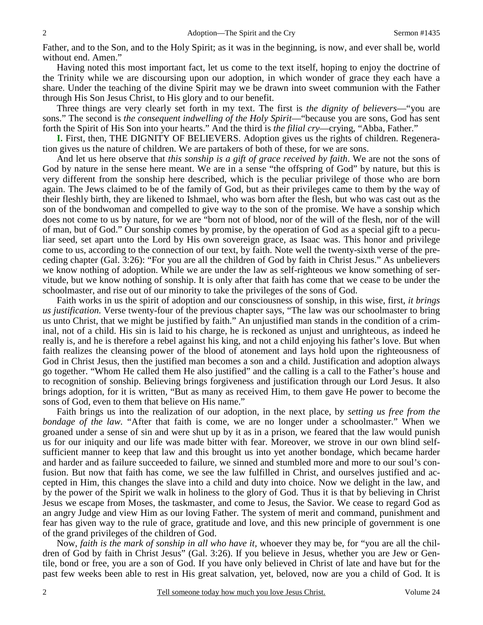Father, and to the Son, and to the Holy Spirit; as it was in the beginning, is now, and ever shall be, world without end. Amen."

Having noted this most important fact, let us come to the text itself, hoping to enjoy the doctrine of the Trinity while we are discoursing upon our adoption, in which wonder of grace they each have a share. Under the teaching of the divine Spirit may we be drawn into sweet communion with the Father through His Son Jesus Christ, to His glory and to our benefit.

Three things are very clearly set forth in my text. The first is *the dignity of believers*—"you are sons." The second is *the consequent indwelling of the Holy Spirit*—"because you are sons, God has sent forth the Spirit of His Son into your hearts." And the third is *the filial cry*—crying, "Abba, Father."

**I.** First, then, THE DIGNITY OF BELIEVERS. Adoption gives us the rights of children. Regeneration gives us the nature of children. We are partakers of both of these, for we are sons.

And let us here observe that *this sonship is a gift of grace received by faith*. We are not the sons of God by nature in the sense here meant. We are in a sense "the offspring of God" by nature, but this is very different from the sonship here described, which is the peculiar privilege of those who are born again. The Jews claimed to be of the family of God, but as their privileges came to them by the way of their fleshly birth, they are likened to Ishmael, who was born after the flesh, but who was cast out as the son of the bondwoman and compelled to give way to the son of the promise. We have a sonship which does not come to us by nature, for we are "born not of blood, nor of the will of the flesh, nor of the will of man, but of God." Our sonship comes by promise, by the operation of God as a special gift to a peculiar seed, set apart unto the Lord by His own sovereign grace, as Isaac was. This honor and privilege come to us, according to the connection of our text, by faith. Note well the twenty-sixth verse of the preceding chapter (Gal. 3:26): "For you are all the children of God by faith in Christ Jesus." As unbelievers we know nothing of adoption. While we are under the law as self-righteous we know something of servitude, but we know nothing of sonship. It is only after that faith has come that we cease to be under the schoolmaster, and rise out of our minority to take the privileges of the sons of God.

Faith works in us the spirit of adoption and our consciousness of sonship, in this wise, first, *it brings us justification.* Verse twenty-four of the previous chapter says, "The law was our schoolmaster to bring us unto Christ, that we might be justified by faith." An unjustified man stands in the condition of a criminal, not of a child. His sin is laid to his charge, he is reckoned as unjust and unrighteous, as indeed he really is, and he is therefore a rebel against his king, and not a child enjoying his father's love. But when faith realizes the cleansing power of the blood of atonement and lays hold upon the righteousness of God in Christ Jesus, then the justified man becomes a son and a child. Justification and adoption always go together. "Whom He called them He also justified" and the calling is a call to the Father's house and to recognition of sonship. Believing brings forgiveness and justification through our Lord Jesus. It also brings adoption, for it is written, "But as many as received Him, to them gave He power to become the sons of God, even to them that believe on His name."

Faith brings us into the realization of our adoption, in the next place, by *setting us free from the bondage of the law.* "After that faith is come, we are no longer under a schoolmaster." When we groaned under a sense of sin and were shut up by it as in a prison, we feared that the law would punish us for our iniquity and our life was made bitter with fear. Moreover, we strove in our own blind selfsufficient manner to keep that law and this brought us into yet another bondage, which became harder and harder and as failure succeeded to failure, we sinned and stumbled more and more to our soul's confusion. But now that faith has come, we see the law fulfilled in Christ, and ourselves justified and accepted in Him, this changes the slave into a child and duty into choice. Now we delight in the law, and by the power of the Spirit we walk in holiness to the glory of God. Thus it is that by believing in Christ Jesus we escape from Moses, the taskmaster, and come to Jesus, the Savior. We cease to regard God as an angry Judge and view Him as our loving Father. The system of merit and command, punishment and fear has given way to the rule of grace, gratitude and love, and this new principle of government is one of the grand privileges of the children of God.

Now, *faith is the mark of sonship in all who have it,* whoever they may be, for "you are all the children of God by faith in Christ Jesus" (Gal. 3:26). If you believe in Jesus, whether you are Jew or Gentile, bond or free, you are a son of God. If you have only believed in Christ of late and have but for the past few weeks been able to rest in His great salvation, yet, beloved, now are you a child of God. It is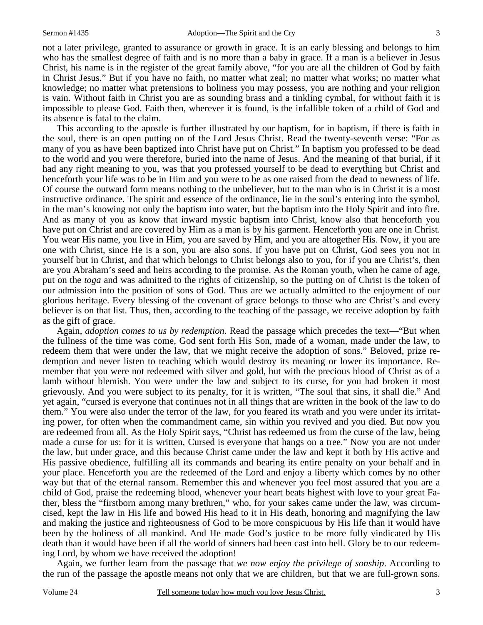not a later privilege, granted to assurance or growth in grace. It is an early blessing and belongs to him who has the smallest degree of faith and is no more than a baby in grace. If a man is a believer in Jesus Christ, his name is in the register of the great family above, "for you are all the children of God by faith in Christ Jesus." But if you have no faith, no matter what zeal; no matter what works; no matter what knowledge; no matter what pretensions to holiness you may possess, you are nothing and your religion is vain. Without faith in Christ you are as sounding brass and a tinkling cymbal, for without faith it is impossible to please God. Faith then, wherever it is found, is the infallible token of a child of God and its absence is fatal to the claim.

This according to the apostle is further illustrated by our baptism, for in baptism, if there is faith in the soul, there is an open putting on of the Lord Jesus Christ. Read the twenty-seventh verse: "For as many of you as have been baptized into Christ have put on Christ." In baptism you professed to be dead to the world and you were therefore, buried into the name of Jesus. And the meaning of that burial, if it had any right meaning to you, was that you professed yourself to be dead to everything but Christ and henceforth your life was to be in Him and you were to be as one raised from the dead to newness of life. Of course the outward form means nothing to the unbeliever, but to the man who is in Christ it is a most instructive ordinance. The spirit and essence of the ordinance, lie in the soul's entering into the symbol, in the man's knowing not only the baptism into water, but the baptism into the Holy Spirit and into fire. And as many of you as know that inward mystic baptism into Christ, know also that henceforth you have put on Christ and are covered by Him as a man is by his garment. Henceforth you are one in Christ. You wear His name, you live in Him, you are saved by Him, and you are altogether His. Now, if you are one with Christ, since He is a son, you are also sons. If you have put on Christ, God sees you not in yourself but in Christ, and that which belongs to Christ belongs also to you, for if you are Christ's, then are you Abraham's seed and heirs according to the promise. As the Roman youth, when he came of age, put on the *toga* and was admitted to the rights of citizenship, so the putting on of Christ is the token of our admission into the position of sons of God. Thus are we actually admitted to the enjoyment of our glorious heritage. Every blessing of the covenant of grace belongs to those who are Christ's and every believer is on that list. Thus, then, according to the teaching of the passage, we receive adoption by faith as the gift of grace.

Again, *adoption comes to us by redemption*. Read the passage which precedes the text—"But when the fullness of the time was come, God sent forth His Son, made of a woman, made under the law, to redeem them that were under the law, that we might receive the adoption of sons." Beloved, prize redemption and never listen to teaching which would destroy its meaning or lower its importance. Remember that you were not redeemed with silver and gold, but with the precious blood of Christ as of a lamb without blemish. You were under the law and subject to its curse, for you had broken it most grievously. And you were subject to its penalty, for it is written, "The soul that sins, it shall die." And yet again, "cursed is everyone that continues not in all things that are written in the book of the law to do them." You were also under the terror of the law, for you feared its wrath and you were under its irritating power, for often when the commandment came, sin within you revived and you died. But now you are redeemed from all. As the Holy Spirit says, "Christ has redeemed us from the curse of the law, being made a curse for us: for it is written, Cursed is everyone that hangs on a tree." Now you are not under the law, but under grace, and this because Christ came under the law and kept it both by His active and His passive obedience, fulfilling all its commands and bearing its entire penalty on your behalf and in your place. Henceforth you are the redeemed of the Lord and enjoy a liberty which comes by no other way but that of the eternal ransom. Remember this and whenever you feel most assured that you are a child of God, praise the redeeming blood, whenever your heart beats highest with love to your great Father, bless the "firstborn among many brethren," who, for your sakes came under the law, was circumcised, kept the law in His life and bowed His head to it in His death, honoring and magnifying the law and making the justice and righteousness of God to be more conspicuous by His life than it would have been by the holiness of all mankind. And He made God's justice to be more fully vindicated by His death than it would have been if all the world of sinners had been cast into hell. Glory be to our redeeming Lord, by whom we have received the adoption!

Again, we further learn from the passage that *we now enjoy the privilege of sonship*. According to the run of the passage the apostle means not only that we are children, but that we are full-grown sons.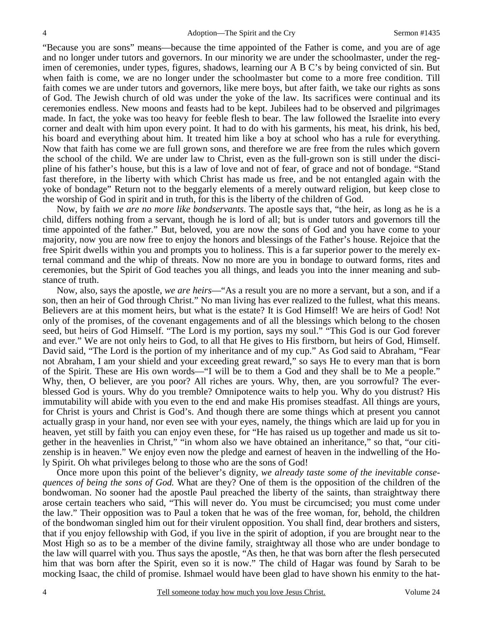"Because you are sons" means—because the time appointed of the Father is come, and you are of age and no longer under tutors and governors. In our minority we are under the schoolmaster, under the regimen of ceremonies, under types, figures, shadows, learning our A B C's by being convicted of sin. But when faith is come, we are no longer under the schoolmaster but come to a more free condition. Till faith comes we are under tutors and governors, like mere boys, but after faith, we take our rights as sons of God. The Jewish church of old was under the yoke of the law. Its sacrifices were continual and its ceremonies endless. New moons and feasts had to be kept. Jubilees had to be observed and pilgrimages made. In fact, the yoke was too heavy for feeble flesh to bear. The law followed the Israelite into every corner and dealt with him upon every point. It had to do with his garments, his meat, his drink, his bed, his board and everything about him. It treated him like a boy at school who has a rule for everything. Now that faith has come we are full grown sons, and therefore we are free from the rules which govern the school of the child. We are under law to Christ, even as the full-grown son is still under the discipline of his father's house, but this is a law of love and not of fear, of grace and not of bondage. "Stand fast therefore, in the liberty with which Christ has made us free, and be not entangled again with the yoke of bondage" Return not to the beggarly elements of a merely outward religion, but keep close to the worship of God in spirit and in truth, for this is the liberty of the children of God.

Now, by faith *we are no more like bondservants*. The apostle says that, "the heir, as long as he is a child, differs nothing from a servant, though he is lord of all; but is under tutors and governors till the time appointed of the father." But, beloved, you are now the sons of God and you have come to your majority, now you are now free to enjoy the honors and blessings of the Father's house. Rejoice that the free Spirit dwells within you and prompts you to holiness. This is a far superior power to the merely external command and the whip of threats. Now no more are you in bondage to outward forms, rites and ceremonies, but the Spirit of God teaches you all things, and leads you into the inner meaning and substance of truth.

Now, also, says the apostle, *we are heirs*—"As a result you are no more a servant, but a son, and if a son, then an heir of God through Christ." No man living has ever realized to the fullest, what this means. Believers are at this moment heirs, but what is the estate? It is God Himself! We are heirs of God! Not only of the promises, of the covenant engagements and of all the blessings which belong to the chosen seed, but heirs of God Himself. "The Lord is my portion, says my soul." "This God is our God forever and ever." We are not only heirs to God, to all that He gives to His firstborn, but heirs of God, Himself. David said, "The Lord is the portion of my inheritance and of my cup." As God said to Abraham, "Fear not Abraham, I am your shield and your exceeding great reward," so says He to every man that is born of the Spirit. These are His own words—"I will be to them a God and they shall be to Me a people." Why, then, O believer, are you poor? All riches are yours. Why, then, are you sorrowful? The everblessed God is yours. Why do you tremble? Omnipotence waits to help you. Why do you distrust? His immutability will abide with you even to the end and make His promises steadfast. All things are yours, for Christ is yours and Christ is God's. And though there are some things which at present you cannot actually grasp in your hand, nor even see with your eyes, namely, the things which are laid up for you in heaven, yet still by faith you can enjoy even these, for "He has raised us up together and made us sit together in the heavenlies in Christ," "in whom also we have obtained an inheritance," so that, "our citizenship is in heaven." We enjoy even now the pledge and earnest of heaven in the indwelling of the Holy Spirit. Oh what privileges belong to those who are the sons of God!

Once more upon this point of the believer's dignity, *we already taste some of the inevitable consequences of being the sons of God.* What are they? One of them is the opposition of the children of the bondwoman. No sooner had the apostle Paul preached the liberty of the saints, than straightway there arose certain teachers who said, "This will never do. You must be circumcised; you must come under the law." Their opposition was to Paul a token that he was of the free woman, for, behold, the children of the bondwoman singled him out for their virulent opposition. You shall find, dear brothers and sisters, that if you enjoy fellowship with God, if you live in the spirit of adoption, if you are brought near to the Most High so as to be a member of the divine family, straightway all those who are under bondage to the law will quarrel with you. Thus says the apostle, "As then, he that was born after the flesh persecuted him that was born after the Spirit, even so it is now." The child of Hagar was found by Sarah to be mocking Isaac, the child of promise. Ishmael would have been glad to have shown his enmity to the hat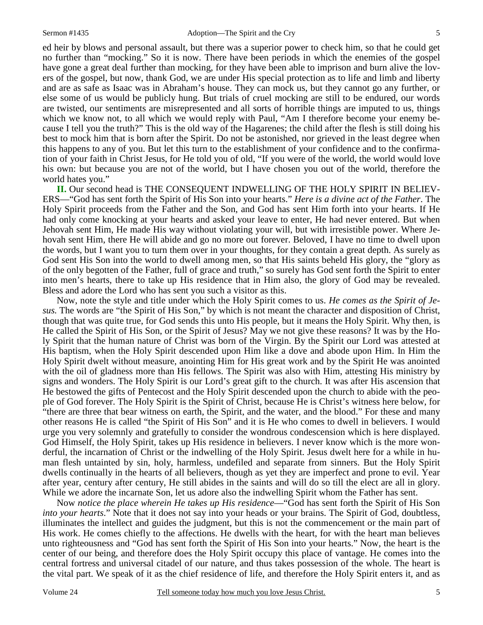ed heir by blows and personal assault, but there was a superior power to check him, so that he could get no further than "mocking." So it is now. There have been periods in which the enemies of the gospel have gone a great deal further than mocking, for they have been able to imprison and burn alive the lovers of the gospel, but now, thank God, we are under His special protection as to life and limb and liberty and are as safe as Isaac was in Abraham's house. They can mock us, but they cannot go any further, or else some of us would be publicly hung. But trials of cruel mocking are still to be endured, our words are twisted, our sentiments are misrepresented and all sorts of horrible things are imputed to us, things which we know not, to all which we would reply with Paul, "Am I therefore become your enemy because I tell you the truth?" This is the old way of the Hagarenes; the child after the flesh is still doing his best to mock him that is born after the Spirit. Do not be astonished, nor grieved in the least degree when this happens to any of you. But let this turn to the establishment of your confidence and to the confirmation of your faith in Christ Jesus, for He told you of old, "If you were of the world, the world would love his own: but because you are not of the world, but I have chosen you out of the world, therefore the world hates you."

**II.** Our second head is THE CONSEQUENT INDWELLING OF THE HOLY SPIRIT IN BELIEV-ERS—"God has sent forth the Spirit of His Son into your hearts." *Here is a divine act of the Father*. The Holy Spirit proceeds from the Father and the Son, and God has sent Him forth into your hearts. If He had only come knocking at your hearts and asked your leave to enter, He had never entered. But when Jehovah sent Him, He made His way without violating your will, but with irresistible power. Where Jehovah sent Him, there He will abide and go no more out forever. Beloved, I have no time to dwell upon the words, but I want you to turn them over in your thoughts, for they contain a great depth. As surely as God sent His Son into the world to dwell among men, so that His saints beheld His glory, the "glory as of the only begotten of the Father, full of grace and truth," so surely has God sent forth the Spirit to enter into men's hearts, there to take up His residence that in Him also, the glory of God may be revealed. Bless and adore the Lord who has sent you such a visitor as this.

Now, note the style and title under which the Holy Spirit comes to us. *He comes as the Spirit of Jesus.* The words are "the Spirit of His Son," by which is not meant the character and disposition of Christ, though that was quite true, for God sends this unto His people, but it means the Holy Spirit. Why then, is He called the Spirit of His Son, or the Spirit of Jesus? May we not give these reasons? It was by the Holy Spirit that the human nature of Christ was born of the Virgin. By the Spirit our Lord was attested at His baptism, when the Holy Spirit descended upon Him like a dove and abode upon Him. In Him the Holy Spirit dwelt without measure, anointing Him for His great work and by the Spirit He was anointed with the oil of gladness more than His fellows. The Spirit was also with Him, attesting His ministry by signs and wonders. The Holy Spirit is our Lord's great gift to the church. It was after His ascension that He bestowed the gifts of Pentecost and the Holy Spirit descended upon the church to abide with the people of God forever. The Holy Spirit is the Spirit of Christ, because He is Christ's witness here below, for "there are three that bear witness on earth, the Spirit, and the water, and the blood." For these and many other reasons He is called "the Spirit of His Son" and it is He who comes to dwell in believers. I would urge you very solemnly and gratefully to consider the wondrous condescension which is here displayed. God Himself, the Holy Spirit, takes up His residence in believers. I never know which is the more wonderful, the incarnation of Christ or the indwelling of the Holy Spirit. Jesus dwelt here for a while in human flesh untainted by sin, holy, harmless, undefiled and separate from sinners. But the Holy Spirit dwells continually in the hearts of all believers, though as yet they are imperfect and prone to evil. Year after year, century after century, He still abides in the saints and will do so till the elect are all in glory. While we adore the incarnate Son, let us adore also the indwelling Spirit whom the Father has sent.

Now *notice the place wherein He takes up His residence*—"God has sent forth the Spirit of His Son *into your hearts*." Note that it does not say into your heads or your brains. The Spirit of God, doubtless, illuminates the intellect and guides the judgment, but this is not the commencement or the main part of His work. He comes chiefly to the affections. He dwells with the heart, for with the heart man believes unto righteousness and "God has sent forth the Spirit of His Son into your hearts." Now, the heart is the center of our being, and therefore does the Holy Spirit occupy this place of vantage. He comes into the central fortress and universal citadel of our nature, and thus takes possession of the whole. The heart is the vital part. We speak of it as the chief residence of life, and therefore the Holy Spirit enters it, and as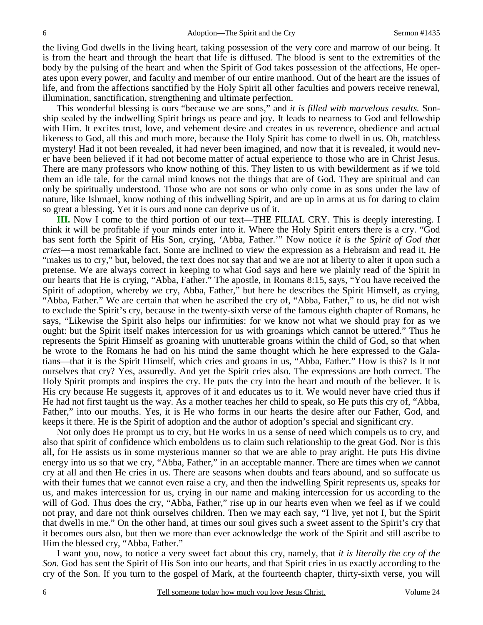the living God dwells in the living heart, taking possession of the very core and marrow of our being. It is from the heart and through the heart that life is diffused. The blood is sent to the extremities of the body by the pulsing of the heart and when the Spirit of God takes possession of the affections, He operates upon every power, and faculty and member of our entire manhood. Out of the heart are the issues of life, and from the affections sanctified by the Holy Spirit all other faculties and powers receive renewal, illumination, sanctification, strengthening and ultimate perfection.

This wonderful blessing is ours "because we are sons," and *it is filled with marvelous results.* Sonship sealed by the indwelling Spirit brings us peace and joy. It leads to nearness to God and fellowship with Him. It excites trust, love, and vehement desire and creates in us reverence, obedience and actual likeness to God, all this and much more, because the Holy Spirit has come to dwell in us. Oh, matchless mystery! Had it not been revealed, it had never been imagined, and now that it is revealed, it would never have been believed if it had not become matter of actual experience to those who are in Christ Jesus. There are many professors who know nothing of this. They listen to us with bewilderment as if we told them an idle tale, for the carnal mind knows not the things that are of God. They are spiritual and can only be spiritually understood. Those who are not sons or who only come in as sons under the law of nature, like Ishmael, know nothing of this indwelling Spirit, and are up in arms at us for daring to claim so great a blessing. Yet it is ours and none can deprive us of it.

**III.** Now I come to the third portion of our text—THE FILIAL CRY. This is deeply interesting. I think it will be profitable if your minds enter into it. Where the Holy Spirit enters there is a cry. "God has sent forth the Spirit of His Son, crying, 'Abba, Father.'" Now notice *it is the Spirit of God that cries*—a most remarkable fact. Some are inclined to view the expression as a Hebraism and read it, He "makes us to cry," but, beloved, the text does not say that and we are not at liberty to alter it upon such a pretense. We are always correct in keeping to what God says and here we plainly read of the Spirit in our hearts that He is crying, "Abba, Father." The apostle, in Romans 8:15, says, "You have received the Spirit of adoption, whereby *we* cry, Abba, Father," but here he describes the Spirit Himself, as crying, "Abba, Father." We are certain that when he ascribed the cry of, "Abba, Father," to us, he did not wish to exclude the Spirit's cry, because in the twenty-sixth verse of the famous eighth chapter of Romans, he says, "Likewise the Spirit also helps our infirmities: for we know not what we should pray for as we ought: but the Spirit itself makes intercession for us with groanings which cannot be uttered." Thus he represents the Spirit Himself as groaning with unutterable groans within the child of God, so that when he wrote to the Romans he had on his mind the same thought which he here expressed to the Galatians—that it is the Spirit Himself, which cries and groans in us, "Abba, Father." How is this? Is it not ourselves that cry? Yes, assuredly. And yet the Spirit cries also. The expressions are both correct. The Holy Spirit prompts and inspires the cry. He puts the cry into the heart and mouth of the believer. It is His cry because He suggests it, approves of it and educates us to it. We would never have cried thus if He had not first taught us the way. As a mother teaches her child to speak, so He puts this cry of, "Abba, Father," into our mouths. Yes, it is He who forms in our hearts the desire after our Father, God, and keeps it there. He is the Spirit of adoption and the author of adoption's special and significant cry.

Not only does He prompt us to cry, but He works in us a sense of need which compels us to cry, and also that spirit of confidence which emboldens us to claim such relationship to the great God. Nor is this all, for He assists us in some mysterious manner so that we are able to pray aright. He puts His divine energy into us so that we cry, "Abba, Father," in an acceptable manner. There are times when *we* cannot cry at all and then He cries in us. There are seasons when doubts and fears abound, and so suffocate us with their fumes that we cannot even raise a cry, and then the indwelling Spirit represents us, speaks for us, and makes intercession for us, crying in our name and making intercession for us according to the will of God. Thus does the cry, "Abba, Father," rise up in our hearts even when we feel as if we could not pray, and dare not think ourselves children. Then we may each say, "I live, yet not I, but the Spirit that dwells in me." On the other hand, at times our soul gives such a sweet assent to the Spirit's cry that it becomes ours also, but then we more than ever acknowledge the work of the Spirit and still ascribe to Him the blessed cry, "Abba, Father."

I want you, now, to notice a very sweet fact about this cry, namely, that *it is literally the cry of the Son.* God has sent the Spirit of His Son into our hearts, and that Spirit cries in us exactly according to the cry of the Son. If you turn to the gospel of Mark, at the fourteenth chapter, thirty-sixth verse, you will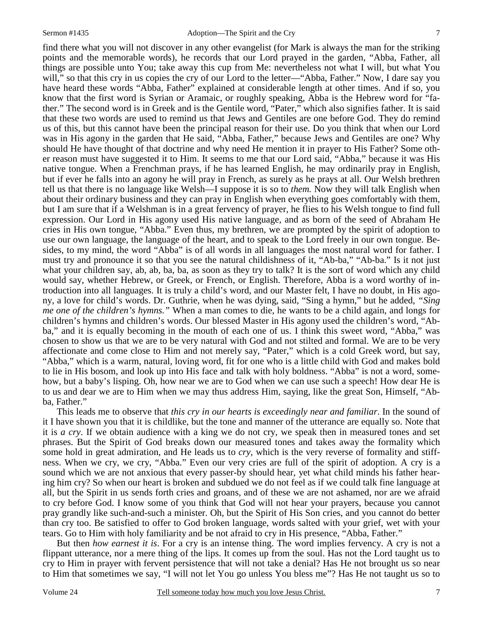find there what you will not discover in any other evangelist (for Mark is always the man for the striking points and the memorable words), he records that our Lord prayed in the garden, "Abba, Father, all things are possible unto You; take away this cup from Me: nevertheless not what I will, but what You will," so that this cry in us copies the cry of our Lord to the letter—"Abba, Father." Now, I dare say you have heard these words "Abba, Father" explained at considerable length at other times. And if so, you know that the first word is Syrian or Aramaic, or roughly speaking, Abba is the Hebrew word for "father." The second word is in Greek and is the Gentile word, "Pater," which also signifies father. It is said that these two words are used to remind us that Jews and Gentiles are one before God. They do remind us of this, but this cannot have been the principal reason for their use. Do you think that when our Lord was in His agony in the garden that He said, "Abba, Father," because Jews and Gentiles are one? Why should He have thought of that doctrine and why need He mention it in prayer to His Father? Some other reason must have suggested it to Him. It seems to me that our Lord said, "Abba," because it was His native tongue. When a Frenchman prays, if he has learned English, he may ordinarily pray in English, but if ever he falls into an agony he will pray in French, as surely as he prays at all. Our Welsh brethren tell us that there is no language like Welsh—I suppose it is so to *them.* Now they will talk English when about their ordinary business and they can pray in English when everything goes comfortably with them, but I am sure that if a Welshman is in a great fervency of prayer, he flies to his Welsh tongue to find full expression. Our Lord in His agony used His native language, and as born of the seed of Abraham He cries in His own tongue, "Abba." Even thus, my brethren, we are prompted by the spirit of adoption to use our own language, the language of the heart, and to speak to the Lord freely in our own tongue. Besides, to my mind, the word "Abba" is of all words in all languages the most natural word for father. I must try and pronounce it so that you see the natural childishness of it, "Ab-ba," "Ab-ba." Is it not just what your children say, ab, ab, ba, ba, as soon as they try to talk? It is the sort of word which any child would say, whether Hebrew, or Greek, or French, or English. Therefore, Abba is a word worthy of introduction into all languages. It is truly a child's word, and our Master felt, I have no doubt, in His agony, a love for child's words. Dr. Guthrie, when he was dying, said, "Sing a hymn," but he added, *"Sing me one of the children's hymns."* When a man comes to die, he wants to be a child again, and longs for children's hymns and children's words. Our blessed Master in His agony used the children's word, "Abba," and it is equally becoming in the mouth of each one of us. I think this sweet word, "Abba," was chosen to show us that we are to be very natural with God and not stilted and formal. We are to be very affectionate and come close to Him and not merely say, "Pater," which is a cold Greek word, but say, "Abba," which is a warm, natural, loving word, fit for one who is a little child with God and makes bold to lie in His bosom, and look up into His face and talk with holy boldness. "Abba" is not a word, somehow, but a baby's lisping. Oh, how near we are to God when we can use such a speech! How dear He is to us and dear we are to Him when we may thus address Him, saying, like the great Son, Himself, "Abba, Father."

This leads me to observe that *this cry in our hearts is exceedingly near and familiar*. In the sound of it I have shown you that it is childlike, but the tone and manner of the utterance are equally so. Note that it is *a cry*. If we obtain audience with a king we do not cry, we speak then in measured tones and set phrases. But the Spirit of God breaks down our measured tones and takes away the formality which some hold in great admiration, and He leads us to *cry,* which is the very reverse of formality and stiffness. When we cry, we cry, "Abba." Even our very cries are full of the spirit of adoption. A cry is a sound which we are not anxious that every passer-by should hear, yet what child minds his father hearing him cry? So when our heart is broken and subdued we do not feel as if we could talk fine language at all, but the Spirit in us sends forth cries and groans, and of these we are not ashamed, nor are we afraid to cry before God. I know some of you think that God will not hear your prayers, because you cannot pray grandly like such-and-such a minister. Oh, but the Spirit of His Son cries, and you cannot do better than cry too. Be satisfied to offer to God broken language, words salted with your grief, wet with your tears. Go to Him with holy familiarity and be not afraid to cry in His presence, "Abba, Father."

But then *how earnest it is*. For a cry is an intense thing. The word implies fervency. A cry is not a flippant utterance, nor a mere thing of the lips. It comes up from the soul. Has not the Lord taught us to cry to Him in prayer with fervent persistence that will not take a denial? Has He not brought us so near to Him that sometimes we say, "I will not let You go unless You bless me"? Has He not taught us so to